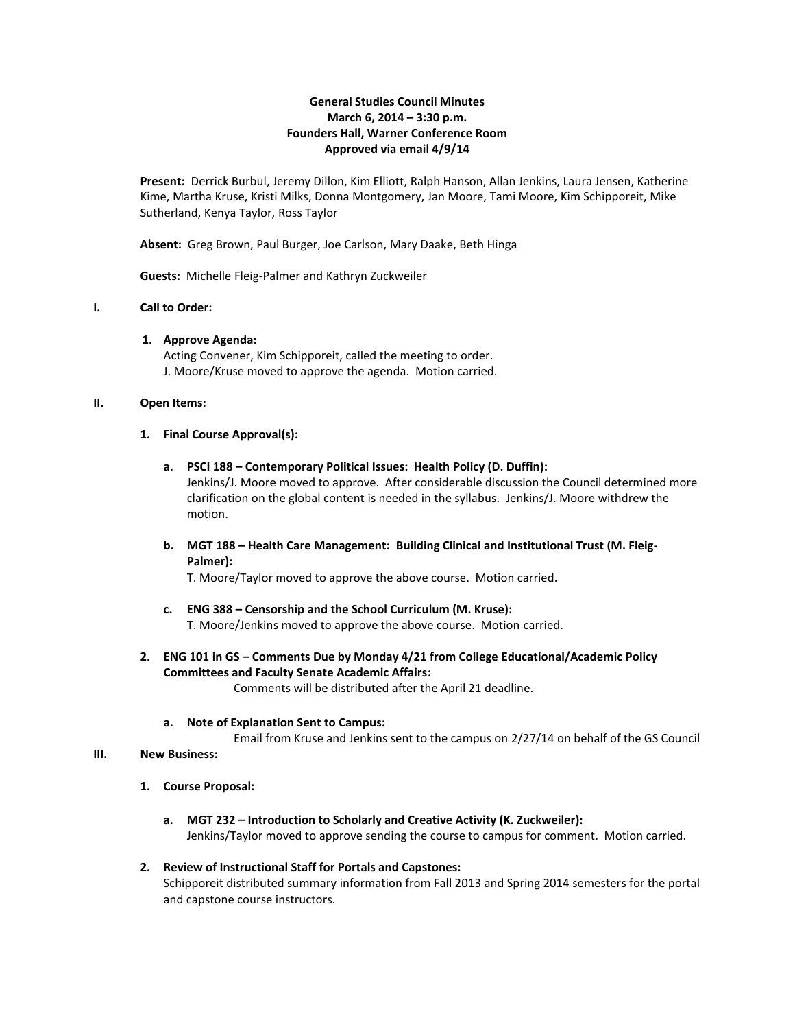### **General Studies Council Minutes March 6, 2014 – 3:30 p.m. Founders Hall, Warner Conference Room Approved via email 4/9/14**

**Present:** Derrick Burbul, Jeremy Dillon, Kim Elliott, Ralph Hanson, Allan Jenkins, Laura Jensen, Katherine Kime, Martha Kruse, Kristi Milks, Donna Montgomery, Jan Moore, Tami Moore, Kim Schipporeit, Mike Sutherland, Kenya Taylor, Ross Taylor

**Absent:** Greg Brown, Paul Burger, Joe Carlson, Mary Daake, Beth Hinga

**Guests:** Michelle Fleig-Palmer and Kathryn Zuckweiler

# **I. Call to Order:**

**1. Approve Agenda:**

Acting Convener, Kim Schipporeit, called the meeting to order. J. Moore/Kruse moved to approve the agenda. Motion carried.

#### **II. Open Items:**

#### **1. Final Course Approval(s):**

- **a. PSCI 188 – Contemporary Political Issues: Health Policy (D. Duffin):** Jenkins/J. Moore moved to approve. After considerable discussion the Council determined more clarification on the global content is needed in the syllabus. Jenkins/J. Moore withdrew the motion.
- **b. MGT 188 – Health Care Management: Building Clinical and Institutional Trust (M. Fleig-Palmer):**

T. Moore/Taylor moved to approve the above course. Motion carried.

- **c. ENG 388 – Censorship and the School Curriculum (M. Kruse):** T. Moore/Jenkins moved to approve the above course. Motion carried.
- **2. ENG 101 in GS – Comments Due by Monday 4/21 from College Educational/Academic Policy Committees and Faculty Senate Academic Affairs:**

Comments will be distributed after the April 21 deadline.

**a. Note of Explanation Sent to Campus:**

Email from Kruse and Jenkins sent to the campus on 2/27/14 on behalf of the GS Council

#### **III. New Business:**

- **1. Course Proposal:**
	- **a. MGT 232 – Introduction to Scholarly and Creative Activity (K. Zuckweiler):**  Jenkins/Taylor moved to approve sending the course to campus for comment. Motion carried.

### **2. Review of Instructional Staff for Portals and Capstones:**

Schipporeit distributed summary information from Fall 2013 and Spring 2014 semesters for the portal and capstone course instructors.